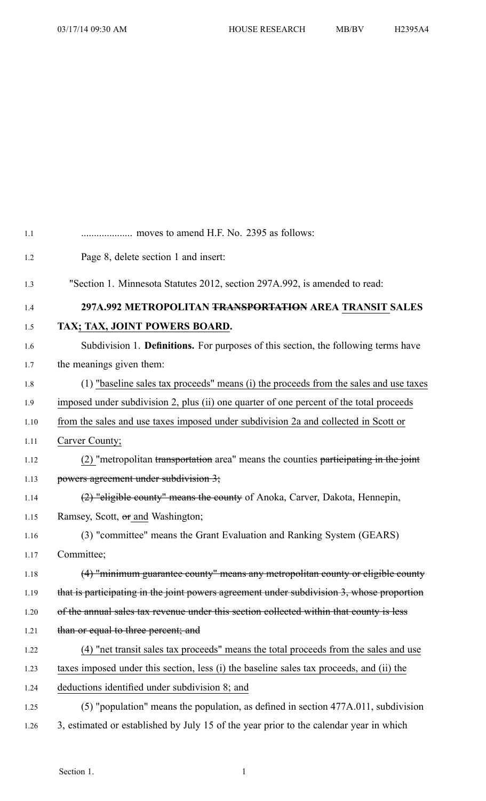| 1.1  |                                                                                           |
|------|-------------------------------------------------------------------------------------------|
| 1.2  | Page 8, delete section 1 and insert:                                                      |
| 1.3  | "Section 1. Minnesota Statutes 2012, section 297A.992, is amended to read:                |
| 1.4  | 297A.992 METROPOLITAN <del>TRANSPORTATION</del> AREA TRANSIT SALES                        |
| 1.5  | TAX; TAX, JOINT POWERS BOARD.                                                             |
| 1.6  | Subdivision 1. <b>Definitions.</b> For purposes of this section, the following terms have |
| 1.7  | the meanings given them:                                                                  |
| 1.8  | (1) "baseline sales tax proceeds" means (i) the proceeds from the sales and use taxes     |
| 1.9  | imposed under subdivision 2, plus (ii) one quarter of one percent of the total proceeds   |
| 1.10 | from the sales and use taxes imposed under subdivision 2a and collected in Scott or       |
| 1.11 | Carver County;                                                                            |
| 1.12 | (2) "metropolitan transportation area" means the counties participating in the joint      |
| 1.13 | powers agreement under subdivision 3;                                                     |
| 1.14 | (2) "eligible county" means the county of Anoka, Carver, Dakota, Hennepin,                |
| 1.15 | Ramsey, Scott, or and Washington;                                                         |
| 1.16 | (3) "committee" means the Grant Evaluation and Ranking System (GEARS)                     |
| 1.17 | Committee;                                                                                |
| 1.18 | (4) "minimum guarantee county" means any metropolitan county or eligible county           |
| 1.19 | that is participating in the joint powers agreement under subdivision 3, whose proportion |
| 1.20 | of the annual sales tax revenue under this section collected within that county is less   |
| 1.21 | than or equal to three percent; and                                                       |
| 1.22 | (4) "net transit sales tax proceeds" means the total proceeds from the sales and use      |
| 1.23 | taxes imposed under this section, less (i) the baseline sales tax proceeds, and (ii) the  |
| 1.24 | deductions identified under subdivision 8; and                                            |
| 1.25 | (5) "population" means the population, as defined in section 477A.011, subdivision        |
| 1.26 | 3, estimated or established by July 15 of the year prior to the calendar year in which    |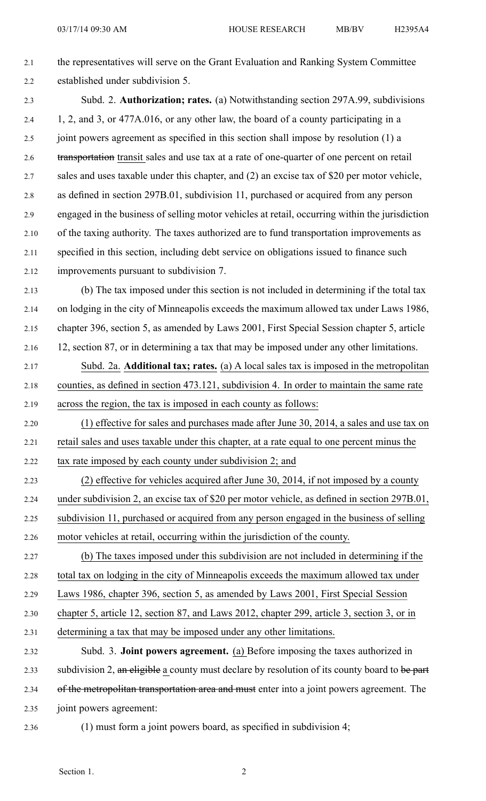| 2.1  | the representatives will serve on the Grant Evaluation and Ranking System Committee            |
|------|------------------------------------------------------------------------------------------------|
| 2.2  | established under subdivision 5.                                                               |
| 2.3  | Subd. 2. Authorization; rates. (a) Notwithstanding section 297A.99, subdivisions               |
| 2.4  | 1, 2, and 3, or 477A.016, or any other law, the board of a county participating in a           |
| 2.5  | joint powers agreement as specified in this section shall impose by resolution (1) a           |
| 2.6  | transportation transit sales and use tax at a rate of one-quarter of one percent on retail     |
| 2.7  | sales and uses taxable under this chapter, and (2) an excise tax of \$20 per motor vehicle,    |
| 2.8  | as defined in section 297B.01, subdivision 11, purchased or acquired from any person           |
| 2.9  | engaged in the business of selling motor vehicles at retail, occurring within the jurisdiction |
| 2.10 | of the taxing authority. The taxes authorized are to fund transportation improvements as       |
| 2.11 | specified in this section, including debt service on obligations issued to finance such        |
| 2.12 | improvements pursuant to subdivision 7.                                                        |
| 2.13 | (b) The tax imposed under this section is not included in determining if the total tax         |
| 2.14 | on lodging in the city of Minneapolis exceeds the maximum allowed tax under Laws 1986,         |
| 2.15 | chapter 396, section 5, as amended by Laws 2001, First Special Session chapter 5, article      |
| 2.16 | 12, section 87, or in determining a tax that may be imposed under any other limitations.       |
| 2.17 | Subd. 2a. Additional tax; rates. (a) A local sales tax is imposed in the metropolitan          |
| 2.18 | counties, as defined in section 473.121, subdivision 4. In order to maintain the same rate     |
| 2.19 | across the region, the tax is imposed in each county as follows:                               |
| 2.20 | (1) effective for sales and purchases made after June 30, 2014, a sales and use tax on         |
| 2.21 | retail sales and uses taxable under this chapter, at a rate equal to one percent minus the     |
| 2.22 | tax rate imposed by each county under subdivision 2; and                                       |
| 2.23 | (2) effective for vehicles acquired after June 30, 2014, if not imposed by a county            |
| 2.24 | under subdivision 2, an excise tax of \$20 per motor vehicle, as defined in section 297B.01,   |
| 2.25 | subdivision 11, purchased or acquired from any person engaged in the business of selling       |
| 2.26 |                                                                                                |
| 2.27 | motor vehicles at retail, occurring within the jurisdiction of the county.                     |
|      | (b) The taxes imposed under this subdivision are not included in determining if the            |
| 2.28 | total tax on lodging in the city of Minneapolis exceeds the maximum allowed tax under          |
| 2.29 | Laws 1986, chapter 396, section 5, as amended by Laws 2001, First Special Session              |
| 2.30 | chapter 5, article 12, section 87, and Laws 2012, chapter 299, article 3, section 3, or in     |
| 2.31 | determining a tax that may be imposed under any other limitations.                             |
| 2.32 | Subd. 3. <b>Joint powers agreement.</b> (a) Before imposing the taxes authorized in            |
| 2.33 | subdivision 2, an eligible a county must declare by resolution of its county board to be part  |
| 2.34 | of the metropolitan transportation area and must enter into a joint powers agreement. The      |
| 2.35 | joint powers agreement:                                                                        |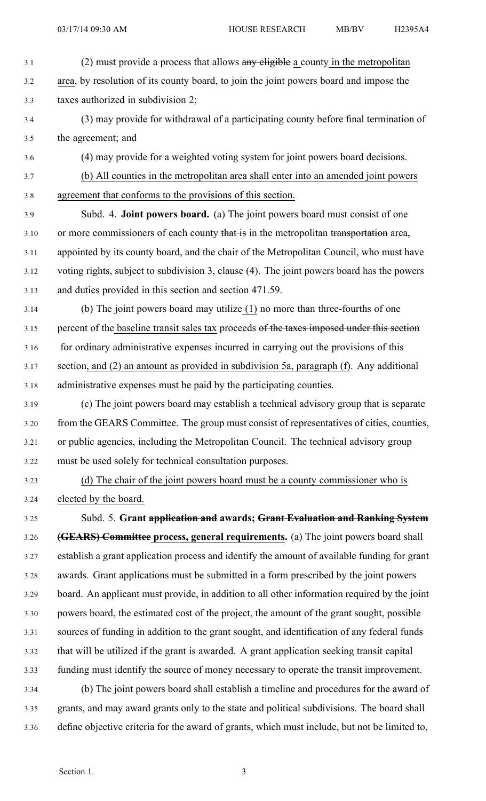- 3.1 (2) must provide a process that allows any eligible a county in the metropolitan 3.2 area, by resolution of its county board, to join the joint powers board and impose the 3.3 taxes authorized in subdivision 2;
- 3.4 (3) may provide for withdrawal of <sup>a</sup> participating county before final termination of 3.5 the agreement; and
- 3.6 (4) may provide for <sup>a</sup> weighted voting system for joint powers board decisions.
- 3.7 (b) All counties in the metropolitan area shall enter into an amended joint powers 3.8 agreemen<sup>t</sup> that conforms to the provisions of this section.
- 3.9 Subd. 4. **Joint powers board.** (a) The joint powers board must consist of one 3.10 or more commissioners of each county that is in the metropolitan transportation area, 3.11 appointed by its county board, and the chair of the Metropolitan Council, who must have 3.12 voting rights, subject to subdivision 3, clause (4). The joint powers board has the powers 3.13 and duties provided in this section and section 471.59.
- 3.14 (b) The joint powers board may utilize (1) no more than three-fourths of one 3.15 percen<sup>t</sup> of the baseline transit sales tax proceeds of the taxes imposed under this section 3.16 for ordinary administrative expenses incurred in carrying out the provisions of this 3.17 section, and (2) an amount as provided in subdivision 5a, paragraph (f). Any additional 3.18 administrative expenses must be paid by the participating counties.
- 3.19 (c) The joint powers board may establish <sup>a</sup> technical advisory group that is separate 3.20 from the GEARS Committee. The group must consist of representatives of cities, counties, 3.21 or public agencies, including the Metropolitan Council. The technical advisory group 3.22 must be used solely for technical consultation purposes.
- 

3.23 (d) The chair of the joint powers board must be <sup>a</sup> county commissioner who is 3.24 elected by the board.

3.25 Subd. 5. **Grant application and awards; Grant Evaluation and Ranking System** 3.26 **(GEARS) Committee process, general requirements.** (a) The joint powers board shall 3.27 establish <sup>a</sup> gran<sup>t</sup> application process and identify the amount of available funding for gran<sup>t</sup> 3.28 awards. Grant applications must be submitted in <sup>a</sup> form prescribed by the joint powers 3.29 board. An applicant must provide, in addition to all other information required by the joint 3.30 powers board, the estimated cost of the project, the amount of the gran<sup>t</sup> sought, possible 3.31 sources of funding in addition to the gran<sup>t</sup> sought, and identification of any federal funds 3.32 that will be utilized if the gran<sup>t</sup> is awarded. A gran<sup>t</sup> application seeking transit capital 3.33 funding must identify the source of money necessary to operate the transit improvement. 3.34 (b) The joint powers board shall establish <sup>a</sup> timeline and procedures for the award of 3.35 grants, and may award grants only to the state and political subdivisions. The board shall

3.36 define objective criteria for the award of grants, which must include, but not be limited to,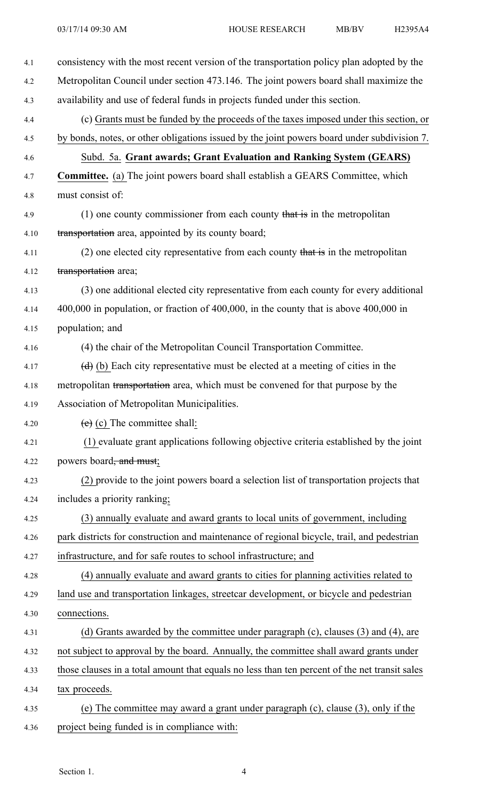| 4.1  | consistency with the most recent version of the transportation policy plan adopted by the     |
|------|-----------------------------------------------------------------------------------------------|
| 4.2  | Metropolitan Council under section 473.146. The joint powers board shall maximize the         |
| 4.3  | availability and use of federal funds in projects funded under this section.                  |
| 4.4  | (c) Grants must be funded by the proceeds of the taxes imposed under this section, or         |
| 4.5  | by bonds, notes, or other obligations issued by the joint powers board under subdivision 7.   |
| 4.6  | Subd. 5a. Grant awards; Grant Evaluation and Ranking System (GEARS)                           |
| 4.7  | <b>Committee.</b> (a) The joint powers board shall establish a GEARS Committee, which         |
| 4.8  | must consist of:                                                                              |
| 4.9  | $(1)$ one county commissioner from each county that is in the metropolitan                    |
| 4.10 | transportation area, appointed by its county board;                                           |
| 4.11 | $(2)$ one elected city representative from each county that is in the metropolitan            |
| 4.12 | transportation area;                                                                          |
| 4.13 | (3) one additional elected city representative from each county for every additional          |
| 4.14 | $400,000$ in population, or fraction of $400,000$ , in the county that is above $400,000$ in  |
| 4.15 | population; and                                                                               |
| 4.16 | (4) the chair of the Metropolitan Council Transportation Committee.                           |
| 4.17 | $(d)$ (b) Each city representative must be elected at a meeting of cities in the              |
| 4.18 | metropolitan transportation area, which must be convened for that purpose by the              |
| 4.19 | Association of Metropolitan Municipalities.                                                   |
| 4.20 | $(e)$ (c) The committee shall:                                                                |
| 4.21 | (1) evaluate grant applications following objective criteria established by the joint         |
| 4.22 | powers board <del>, and must</del> ;                                                          |
| 4.23 | (2) provide to the joint powers board a selection list of transportation projects that        |
| 4.24 | includes a priority ranking;                                                                  |
| 4.25 | (3) annually evaluate and award grants to local units of government, including                |
| 4.26 | park districts for construction and maintenance of regional bicycle, trail, and pedestrian    |
| 4.27 | infrastructure, and for safe routes to school infrastructure; and                             |
| 4.28 | (4) annually evaluate and award grants to cities for planning activities related to           |
| 4.29 | land use and transportation linkages, streetcar development, or bicycle and pedestrian        |
| 4.30 | connections.                                                                                  |
| 4.31 | (d) Grants awarded by the committee under paragraph (c), clauses (3) and (4), are             |
| 4.32 | not subject to approval by the board. Annually, the committee shall award grants under        |
| 4.33 | those clauses in a total amount that equals no less than ten percent of the net transit sales |
| 4.34 | tax proceeds.                                                                                 |
| 4.35 | (e) The committee may award a grant under paragraph (c), clause (3), only if the              |
| 4.36 | project being funded is in compliance with:                                                   |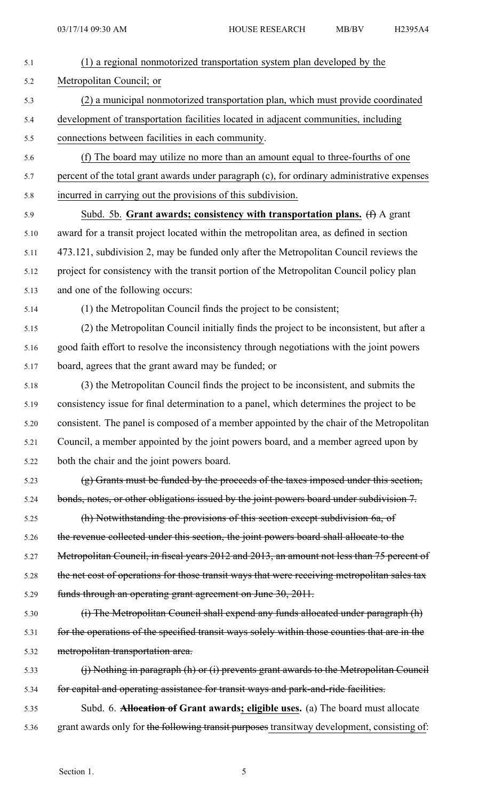| 5.1  | (1) a regional nonmotorized transportation system plan developed by the                       |
|------|-----------------------------------------------------------------------------------------------|
| 5.2  | Metropolitan Council; or                                                                      |
| 5.3  | (2) a municipal nonmotorized transportation plan, which must provide coordinated              |
| 5.4  | development of transportation facilities located in adjacent communities, including           |
| 5.5  | connections between facilities in each community.                                             |
| 5.6  | (f) The board may utilize no more than an amount equal to three-fourths of one                |
| 5.7  | percent of the total grant awards under paragraph (c), for ordinary administrative expenses   |
| 5.8  | incurred in carrying out the provisions of this subdivision.                                  |
| 5.9  | Subd. 5b. Grant awards; consistency with transportation plans. (f) A grant                    |
| 5.10 | award for a transit project located within the metropolitan area, as defined in section       |
| 5.11 | 473.121, subdivision 2, may be funded only after the Metropolitan Council reviews the         |
| 5.12 | project for consistency with the transit portion of the Metropolitan Council policy plan      |
| 5.13 | and one of the following occurs:                                                              |
| 5.14 | (1) the Metropolitan Council finds the project to be consistent;                              |
| 5.15 | (2) the Metropolitan Council initially finds the project to be inconsistent, but after a      |
| 5.16 | good faith effort to resolve the inconsistency through negotiations with the joint powers     |
| 5.17 | board, agrees that the grant award may be funded; or                                          |
| 5.18 | (3) the Metropolitan Council finds the project to be inconsistent, and submits the            |
| 5.19 | consistency issue for final determination to a panel, which determines the project to be      |
| 5.20 | consistent. The panel is composed of a member appointed by the chair of the Metropolitan      |
| 5.21 | Council, a member appointed by the joint powers board, and a member agreed upon by            |
| 5.22 | both the chair and the joint powers board.                                                    |
| 5.23 | (g) Grants must be funded by the proceeds of the taxes imposed under this section,            |
| 5.24 | bonds, notes, or other obligations issued by the joint powers board under subdivision 7.      |
| 5.25 | (h) Notwithstanding the provisions of this section except subdivision 6a, of                  |
| 5.26 | the revenue collected under this section, the joint powers board shall allocate to the        |
| 5.27 | Metropolitan Council, in fiscal years 2012 and 2013, an amount not less than 75 percent of    |
| 5.28 | the net cost of operations for those transit ways that were receiving metropolitan sales tax  |
| 5.29 | funds through an operating grant agreement on June 30, 2011.                                  |
| 5.30 | (i) The Metropolitan Council shall expend any funds allocated under paragraph (h)             |
| 5.31 | for the operations of the specified transit ways solely within those counties that are in the |
| 5.32 | metropolitan transportation area.                                                             |
| 5.33 | (j) Nothing in paragraph (h) or (i) prevents grant awards to the Metropolitan Council         |
| 5.34 | for capital and operating assistance for transit ways and park-and-ride facilities.           |
| 5.35 | Subd. 6. <b>Allocation of Grant awards; eligible uses.</b> (a) The board must allocate        |
| 5.36 | grant awards only for the following transit purposes transitway development, consisting of:   |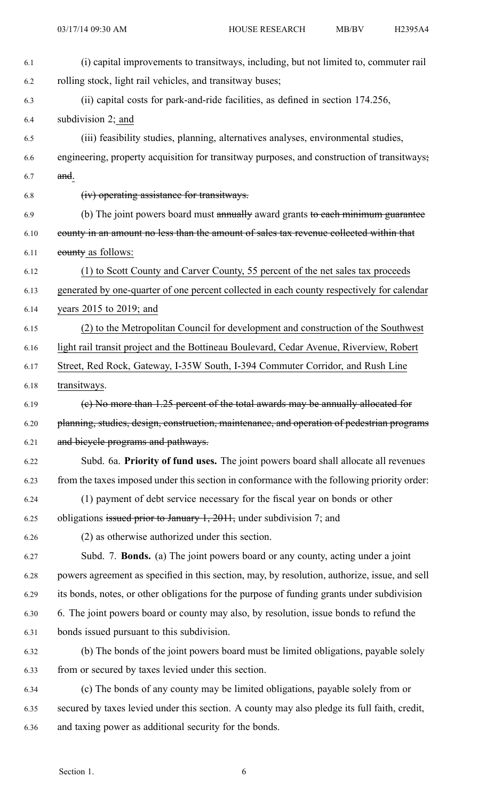| 6.1  | (i) capital improvements to transitways, including, but not limited to, commuter rail         |
|------|-----------------------------------------------------------------------------------------------|
| 6.2  | rolling stock, light rail vehicles, and transitway buses;                                     |
| 6.3  | (ii) capital costs for park-and-ride facilities, as defined in section 174.256,               |
| 6.4  | subdivision 2; and                                                                            |
| 6.5  | (iii) feasibility studies, planning, alternatives analyses, environmental studies,            |
| 6.6  | engineering, property acquisition for transitway purposes, and construction of transitways;   |
| 6.7  | and.                                                                                          |
| 6.8  | (iv) operating assistance for transitways.                                                    |
| 6.9  | (b) The joint powers board must annually award grants to each minimum guarantee               |
| 6.10 | eounty in an amount no less than the amount of sales tax revenue collected within that        |
| 6.11 | eounty as follows:                                                                            |
| 6.12 | (1) to Scott County and Carver County, 55 percent of the net sales tax proceeds               |
| 6.13 | generated by one-quarter of one percent collected in each county respectively for calendar    |
| 6.14 | years $2015$ to $2019$ ; and                                                                  |
| 6.15 | (2) to the Metropolitan Council for development and construction of the Southwest             |
| 6.16 | light rail transit project and the Bottineau Boulevard, Cedar Avenue, Riverview, Robert       |
| 6.17 | Street, Red Rock, Gateway, I-35W South, I-394 Commuter Corridor, and Rush Line                |
| 6.18 | transitways.                                                                                  |
| 6.19 | (e) No more than 1.25 percent of the total awards may be annually allocated for               |
| 6.20 | planning, studies, design, construction, maintenance, and operation of pedestrian programs    |
| 6.21 | and bicycle programs and pathways.                                                            |
| 6.22 | Subd. 6a. Priority of fund uses. The joint powers board shall allocate all revenues           |
| 6.23 | from the taxes imposed under this section in conformance with the following priority order:   |
| 6.24 | (1) payment of debt service necessary for the fiscal year on bonds or other                   |
| 6.25 | obligations issued prior to January 1, 2011, under subdivision 7; and                         |
| 6.26 | (2) as otherwise authorized under this section.                                               |
| 6.27 | Subd. 7. <b>Bonds.</b> (a) The joint powers board or any county, acting under a joint         |
| 6.28 | powers agreement as specified in this section, may, by resolution, authorize, issue, and sell |
| 6.29 | its bonds, notes, or other obligations for the purpose of funding grants under subdivision    |
| 6.30 | 6. The joint powers board or county may also, by resolution, issue bonds to refund the        |
| 6.31 | bonds issued pursuant to this subdivision.                                                    |
| 6.32 | (b) The bonds of the joint powers board must be limited obligations, payable solely           |
| 6.33 | from or secured by taxes levied under this section.                                           |
| 6.34 | (c) The bonds of any county may be limited obligations, payable solely from or                |
| 6.35 | secured by taxes levied under this section. A county may also pledge its full faith, credit,  |
| 6.36 | and taxing power as additional security for the bonds.                                        |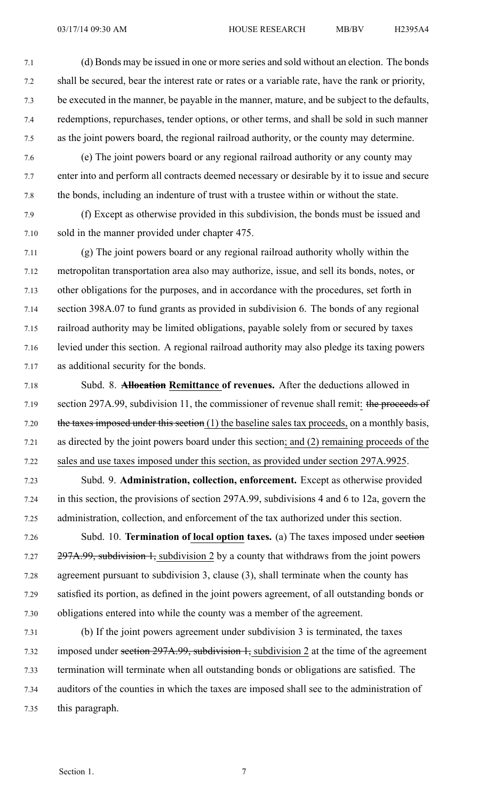7.1 (d) Bonds may be issued in one or more series and sold without an election. The bonds 7.2 shall be secured, bear the interest rate or rates or <sup>a</sup> variable rate, have the rank or priority, 7.3 be executed in the manner, be payable in the manner, mature, and be subject to the defaults, 7.4 redemptions, repurchases, tender options, or other terms, and shall be sold in such manner 7.5 as the joint powers board, the regional railroad authority, or the county may determine.

- 7.6 (e) The joint powers board or any regional railroad authority or any county may 7.7 enter into and perform all contracts deemed necessary or desirable by it to issue and secure 7.8 the bonds, including an indenture of trust with <sup>a</sup> trustee within or without the state.
- 7.9 (f) Except as otherwise provided in this subdivision, the bonds must be issued and 7.10 sold in the manner provided under chapter 475.

7.11 (g) The joint powers board or any regional railroad authority wholly within the 7.12 metropolitan transportation area also may authorize, issue, and sell its bonds, notes, or 7.13 other obligations for the purposes, and in accordance with the procedures, set forth in 7.14 section 398A.07 to fund grants as provided in subdivision 6. The bonds of any regional 7.15 railroad authority may be limited obligations, payable solely from or secured by taxes 7.16 levied under this section. A regional railroad authority may also pledge its taxing powers 7.17 as additional security for the bonds.

7.18 Subd. 8. **Allocation Remittance of revenues.** After the deductions allowed in 7.19 section 297A.99, subdivision 11, the commissioner of revenue shall remit: the proceeds of 7.20 the taxes imposed under this section (1) the baseline sales tax proceeds, on a monthly basis, 7.21 as directed by the joint powers board under this section; and (2) remaining proceeds of the 7.22 sales and use taxes imposed under this section, as provided under section 297A.9925.

7.23 Subd. 9. **Administration, collection, enforcement.** Except as otherwise provided 7.24 in this section, the provisions of section 297A.99, subdivisions 4 and 6 to 12a, govern the 7.25 administration, collection, and enforcement of the tax authorized under this section.

7.26 Subd. 10. **Termination of local option taxes.** (a) The taxes imposed under section 7.27 297A.99, subdivision 1, subdivision 2 by a county that withdraws from the joint powers 7.28 agreemen<sup>t</sup> pursuan<sup>t</sup> to subdivision 3, clause (3), shall terminate when the county has 7.29 satisfied its portion, as defined in the joint powers agreement, of all outstanding bonds or 7.30 obligations entered into while the county was <sup>a</sup> member of the agreement.

7.31 (b) If the joint powers agreemen<sup>t</sup> under subdivision 3 is terminated, the taxes 7.32 imposed under section 297A.99, subdivision 1, subdivision 2 at the time of the agreement 7.33 termination will terminate when all outstanding bonds or obligations are satisfied. The 7.34 auditors of the counties in which the taxes are imposed shall see to the administration of 7.35 this paragraph.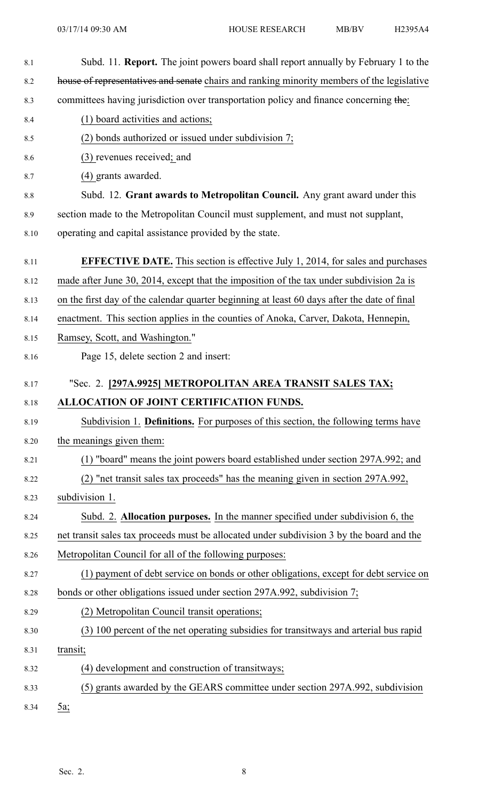| 8.1  | Subd. 11. Report. The joint powers board shall report annually by February 1 to the         |
|------|---------------------------------------------------------------------------------------------|
| 8.2  | house of representatives and senate chairs and ranking minority members of the legislative  |
| 8.3  | committees having jurisdiction over transportation policy and finance concerning the:       |
| 8.4  | (1) board activities and actions;                                                           |
| 8.5  | (2) bonds authorized or issued under subdivision 7;                                         |
| 8.6  | (3) revenues received; and                                                                  |
| 8.7  | (4) grants awarded.                                                                         |
| 8.8  | Subd. 12. Grant awards to Metropolitan Council. Any grant award under this                  |
| 8.9  | section made to the Metropolitan Council must supplement, and must not supplant,            |
| 8.10 | operating and capital assistance provided by the state.                                     |
| 8.11 | <b>EFFECTIVE DATE.</b> This section is effective July 1, 2014, for sales and purchases      |
| 8.12 | made after June 30, 2014, except that the imposition of the tax under subdivision 2a is     |
| 8.13 | on the first day of the calendar quarter beginning at least 60 days after the date of final |
| 8.14 | enactment. This section applies in the counties of Anoka, Carver, Dakota, Hennepin,         |
| 8.15 | Ramsey, Scott, and Washington."                                                             |
| 8.16 | Page 15, delete section 2 and insert:                                                       |
| 8.17 | "Sec. 2. [297A.9925] METROPOLITAN AREA TRANSIT SALES TAX;                                   |
| 8.18 | ALLOCATION OF JOINT CERTIFICATION FUNDS.                                                    |
| 8.19 | Subdivision 1. Definitions. For purposes of this section, the following terms have          |
| 8.20 | the meanings given them:                                                                    |
| 8.21 | (1) "board" means the joint powers board established under section 297A.992; and            |
| 8.22 | (2) "net transit sales tax proceeds" has the meaning given in section 297A.992,             |
| 8.23 | subdivision 1.                                                                              |
| 8.24 | Subd. 2. Allocation purposes. In the manner specified under subdivision 6, the              |
| 8.25 | net transit sales tax proceeds must be allocated under subdivision 3 by the board and the   |
| 8.26 | Metropolitan Council for all of the following purposes:                                     |
| 8.27 | (1) payment of debt service on bonds or other obligations, except for debt service on       |
| 8.28 | bonds or other obligations issued under section 297A.992, subdivision 7;                    |
| 8.29 | (2) Metropolitan Council transit operations;                                                |
| 8.30 | (3) 100 percent of the net operating subsidies for transitways and arterial bus rapid       |
| 8.31 | transit;                                                                                    |
| 8.32 | (4) development and construction of transitways;                                            |
| 8.33 | (5) grants awarded by the GEARS committee under section 297A.992, subdivision               |
| 8.34 | 5a;                                                                                         |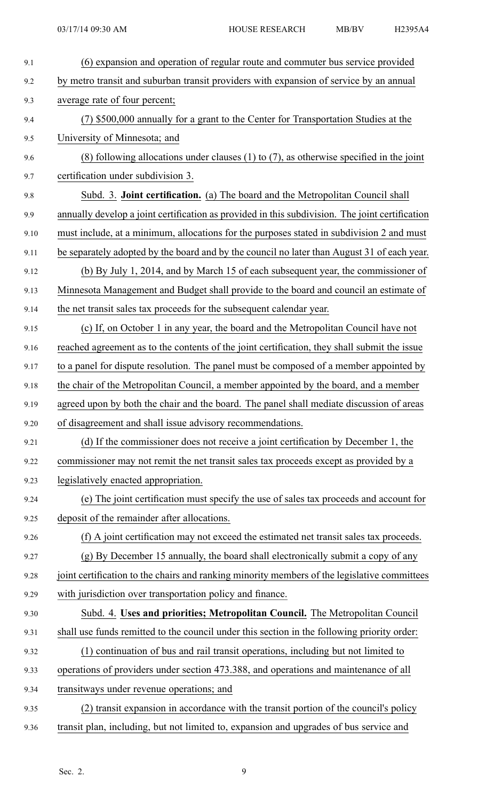| 9.1  | (6) expansion and operation of regular route and commuter bus service provided                  |
|------|-------------------------------------------------------------------------------------------------|
| 9.2  | by metro transit and suburban transit providers with expansion of service by an annual          |
| 9.3  | average rate of four percent;                                                                   |
| 9.4  | (7) \$500,000 annually for a grant to the Center for Transportation Studies at the              |
| 9.5  | University of Minnesota; and                                                                    |
| 9.6  | (8) following allocations under clauses $(1)$ to $(7)$ , as otherwise specified in the joint    |
| 9.7  | certification under subdivision 3.                                                              |
| 9.8  | Subd. 3. Joint certification. (a) The board and the Metropolitan Council shall                  |
| 9.9  | annually develop a joint certification as provided in this subdivision. The joint certification |
| 9.10 | must include, at a minimum, allocations for the purposes stated in subdivision 2 and must       |
| 9.11 | be separately adopted by the board and by the council no later than August 31 of each year.     |
| 9.12 | (b) By July 1, 2014, and by March 15 of each subsequent year, the commissioner of               |
| 9.13 | Minnesota Management and Budget shall provide to the board and council an estimate of           |
| 9.14 | the net transit sales tax proceeds for the subsequent calendar year.                            |
| 9.15 | (c) If, on October 1 in any year, the board and the Metropolitan Council have not               |
| 9.16 | reached agreement as to the contents of the joint certification, they shall submit the issue    |
| 9.17 | to a panel for dispute resolution. The panel must be composed of a member appointed by          |
| 9.18 | the chair of the Metropolitan Council, a member appointed by the board, and a member            |
| 9.19 | agreed upon by both the chair and the board. The panel shall mediate discussion of areas        |
| 9.20 | of disagreement and shall issue advisory recommendations.                                       |
| 9.21 | (d) If the commissioner does not receive a joint certification by December 1, the               |
| 9.22 | commissioner may not remit the net transit sales tax proceeds except as provided by a           |
| 9.23 | legislatively enacted appropriation.                                                            |
| 9.24 | (e) The joint certification must specify the use of sales tax proceeds and account for          |
| 9.25 | deposit of the remainder after allocations.                                                     |
| 9.26 | (f) A joint certification may not exceed the estimated net transit sales tax proceeds.          |
| 9.27 | (g) By December 15 annually, the board shall electronically submit a copy of any                |
| 9.28 | joint certification to the chairs and ranking minority members of the legislative committees    |
| 9.29 | with jurisdiction over transportation policy and finance.                                       |
| 9.30 | Subd. 4. Uses and priorities; Metropolitan Council. The Metropolitan Council                    |
| 9.31 | shall use funds remitted to the council under this section in the following priority order:     |
| 9.32 | (1) continuation of bus and rail transit operations, including but not limited to               |
| 9.33 | operations of providers under section 473.388, and operations and maintenance of all            |
| 9.34 | transitways under revenue operations; and                                                       |
| 9.35 | (2) transit expansion in accordance with the transit portion of the council's policy            |
| 9.36 | transit plan, including, but not limited to, expansion and upgrades of bus service and          |